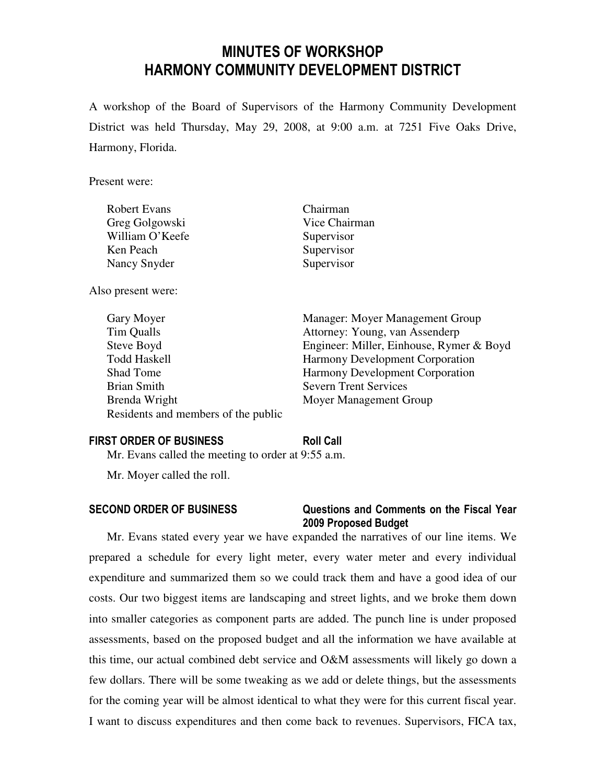# MINUTES OF WORKSHOP HARMONY COMMUNITY DEVELOPMENT DISTRICT

A workshop of the Board of Supervisors of the Harmony Community Development District was held Thursday, May 29, 2008, at 9:00 a.m. at 7251 Five Oaks Drive, Harmony, Florida.

Present were:

| <b>Robert Evans</b> | Chairman      |
|---------------------|---------------|
| Greg Golgowski      | Vice Chairman |
| William O'Keefe     | Supervisor    |
| Ken Peach           | Supervisor    |
| Nancy Snyder        | Supervisor    |

Also present were:

| Gary Moyer                          | Manager: Moyer Management Group          |
|-------------------------------------|------------------------------------------|
| Tim Qualls                          | Attorney: Young, van Assenderp           |
| Steve Boyd                          | Engineer: Miller, Einhouse, Rymer & Boyd |
| <b>Todd Haskell</b>                 | <b>Harmony Development Corporation</b>   |
| Shad Tome                           | <b>Harmony Development Corporation</b>   |
| Brian Smith                         | <b>Severn Trent Services</b>             |
| Brenda Wright                       | Moyer Management Group                   |
| Residents and members of the public |                                          |

### FIRST ORDER OF BUSINESS Roll Call

Mr. Evans called the meeting to order at 9:55 a.m.

Mr. Moyer called the roll.

### SECOND ORDER OF BUSINESS Questions and Comments on the Fiscal Year 2009 Proposed Budget

Mr. Evans stated every year we have expanded the narratives of our line items. We prepared a schedule for every light meter, every water meter and every individual expenditure and summarized them so we could track them and have a good idea of our costs. Our two biggest items are landscaping and street lights, and we broke them down into smaller categories as component parts are added. The punch line is under proposed assessments, based on the proposed budget and all the information we have available at this time, our actual combined debt service and O&M assessments will likely go down a few dollars. There will be some tweaking as we add or delete things, but the assessments for the coming year will be almost identical to what they were for this current fiscal year. I want to discuss expenditures and then come back to revenues. Supervisors, FICA tax,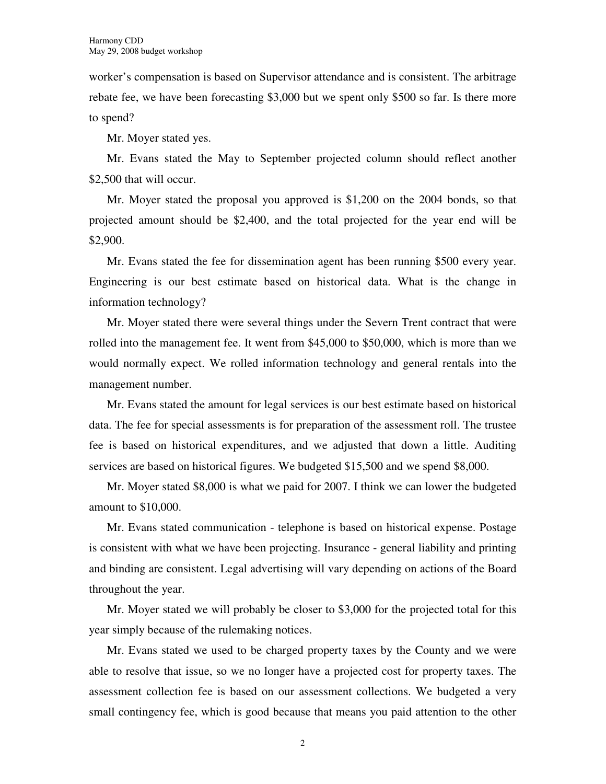worker's compensation is based on Supervisor attendance and is consistent. The arbitrage rebate fee, we have been forecasting \$3,000 but we spent only \$500 so far. Is there more to spend?

Mr. Moyer stated yes.

Mr. Evans stated the May to September projected column should reflect another \$2,500 that will occur.

Mr. Moyer stated the proposal you approved is \$1,200 on the 2004 bonds, so that projected amount should be \$2,400, and the total projected for the year end will be \$2,900.

Mr. Evans stated the fee for dissemination agent has been running \$500 every year. Engineering is our best estimate based on historical data. What is the change in information technology?

Mr. Moyer stated there were several things under the Severn Trent contract that were rolled into the management fee. It went from \$45,000 to \$50,000, which is more than we would normally expect. We rolled information technology and general rentals into the management number.

Mr. Evans stated the amount for legal services is our best estimate based on historical data. The fee for special assessments is for preparation of the assessment roll. The trustee fee is based on historical expenditures, and we adjusted that down a little. Auditing services are based on historical figures. We budgeted \$15,500 and we spend \$8,000.

Mr. Moyer stated \$8,000 is what we paid for 2007. I think we can lower the budgeted amount to \$10,000.

Mr. Evans stated communication - telephone is based on historical expense. Postage is consistent with what we have been projecting. Insurance - general liability and printing and binding are consistent. Legal advertising will vary depending on actions of the Board throughout the year.

Mr. Moyer stated we will probably be closer to \$3,000 for the projected total for this year simply because of the rulemaking notices.

Mr. Evans stated we used to be charged property taxes by the County and we were able to resolve that issue, so we no longer have a projected cost for property taxes. The assessment collection fee is based on our assessment collections. We budgeted a very small contingency fee, which is good because that means you paid attention to the other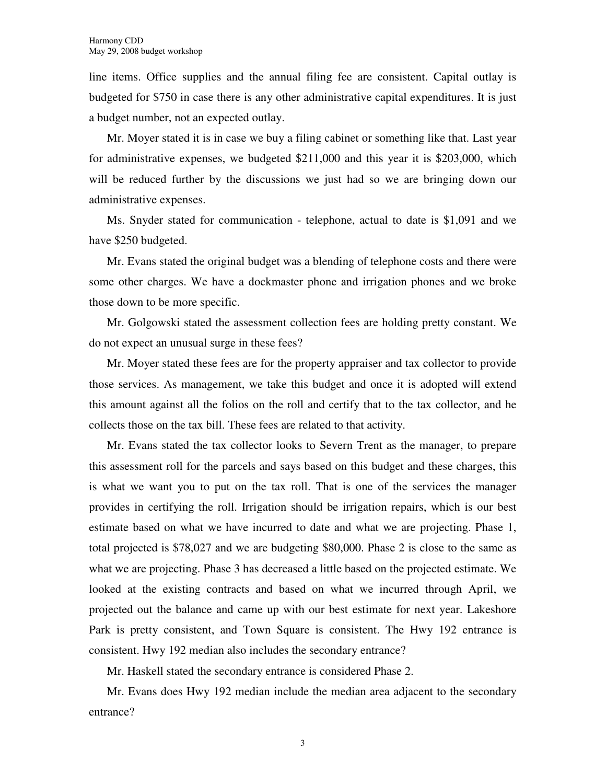line items. Office supplies and the annual filing fee are consistent. Capital outlay is budgeted for \$750 in case there is any other administrative capital expenditures. It is just a budget number, not an expected outlay.

Mr. Moyer stated it is in case we buy a filing cabinet or something like that. Last year for administrative expenses, we budgeted \$211,000 and this year it is \$203,000, which will be reduced further by the discussions we just had so we are bringing down our administrative expenses.

Ms. Snyder stated for communication - telephone, actual to date is \$1,091 and we have \$250 budgeted.

Mr. Evans stated the original budget was a blending of telephone costs and there were some other charges. We have a dockmaster phone and irrigation phones and we broke those down to be more specific.

Mr. Golgowski stated the assessment collection fees are holding pretty constant. We do not expect an unusual surge in these fees?

Mr. Moyer stated these fees are for the property appraiser and tax collector to provide those services. As management, we take this budget and once it is adopted will extend this amount against all the folios on the roll and certify that to the tax collector, and he collects those on the tax bill. These fees are related to that activity.

Mr. Evans stated the tax collector looks to Severn Trent as the manager, to prepare this assessment roll for the parcels and says based on this budget and these charges, this is what we want you to put on the tax roll. That is one of the services the manager provides in certifying the roll. Irrigation should be irrigation repairs, which is our best estimate based on what we have incurred to date and what we are projecting. Phase 1, total projected is \$78,027 and we are budgeting \$80,000. Phase 2 is close to the same as what we are projecting. Phase 3 has decreased a little based on the projected estimate. We looked at the existing contracts and based on what we incurred through April, we projected out the balance and came up with our best estimate for next year. Lakeshore Park is pretty consistent, and Town Square is consistent. The Hwy 192 entrance is consistent. Hwy 192 median also includes the secondary entrance?

Mr. Haskell stated the secondary entrance is considered Phase 2.

Mr. Evans does Hwy 192 median include the median area adjacent to the secondary entrance?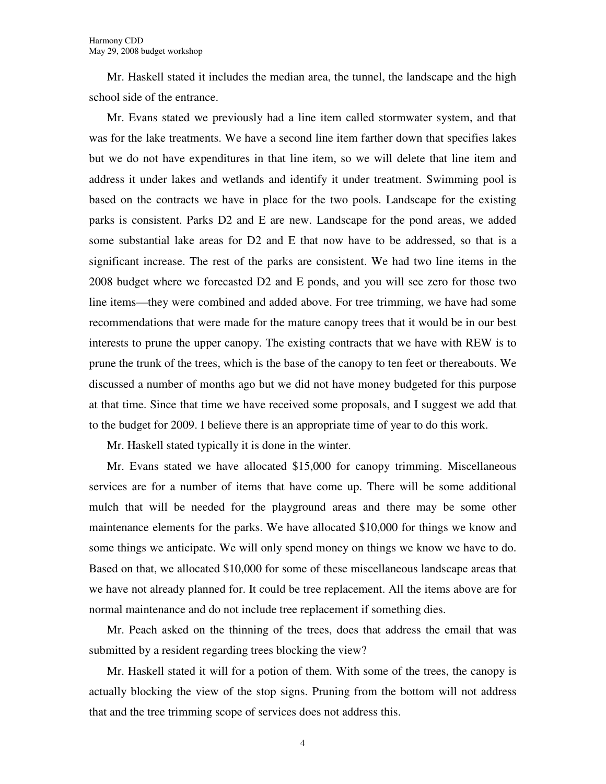Mr. Haskell stated it includes the median area, the tunnel, the landscape and the high school side of the entrance.

Mr. Evans stated we previously had a line item called stormwater system, and that was for the lake treatments. We have a second line item farther down that specifies lakes but we do not have expenditures in that line item, so we will delete that line item and address it under lakes and wetlands and identify it under treatment. Swimming pool is based on the contracts we have in place for the two pools. Landscape for the existing parks is consistent. Parks D2 and E are new. Landscape for the pond areas, we added some substantial lake areas for D2 and E that now have to be addressed, so that is a significant increase. The rest of the parks are consistent. We had two line items in the 2008 budget where we forecasted D2 and E ponds, and you will see zero for those two line items—they were combined and added above. For tree trimming, we have had some recommendations that were made for the mature canopy trees that it would be in our best interests to prune the upper canopy. The existing contracts that we have with REW is to prune the trunk of the trees, which is the base of the canopy to ten feet or thereabouts. We discussed a number of months ago but we did not have money budgeted for this purpose at that time. Since that time we have received some proposals, and I suggest we add that to the budget for 2009. I believe there is an appropriate time of year to do this work.

Mr. Haskell stated typically it is done in the winter.

Mr. Evans stated we have allocated \$15,000 for canopy trimming. Miscellaneous services are for a number of items that have come up. There will be some additional mulch that will be needed for the playground areas and there may be some other maintenance elements for the parks. We have allocated \$10,000 for things we know and some things we anticipate. We will only spend money on things we know we have to do. Based on that, we allocated \$10,000 for some of these miscellaneous landscape areas that we have not already planned for. It could be tree replacement. All the items above are for normal maintenance and do not include tree replacement if something dies.

Mr. Peach asked on the thinning of the trees, does that address the email that was submitted by a resident regarding trees blocking the view?

Mr. Haskell stated it will for a potion of them. With some of the trees, the canopy is actually blocking the view of the stop signs. Pruning from the bottom will not address that and the tree trimming scope of services does not address this.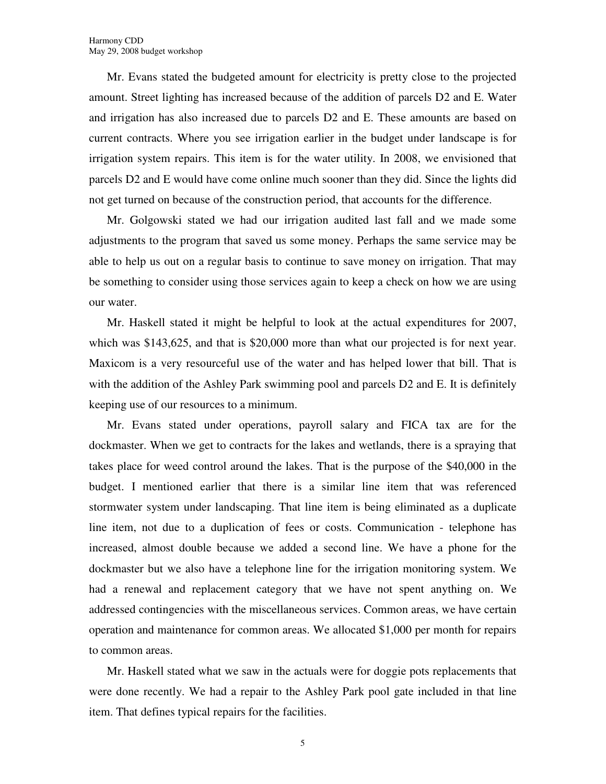Mr. Evans stated the budgeted amount for electricity is pretty close to the projected amount. Street lighting has increased because of the addition of parcels D2 and E. Water and irrigation has also increased due to parcels D2 and E. These amounts are based on current contracts. Where you see irrigation earlier in the budget under landscape is for irrigation system repairs. This item is for the water utility. In 2008, we envisioned that parcels D2 and E would have come online much sooner than they did. Since the lights did not get turned on because of the construction period, that accounts for the difference.

Mr. Golgowski stated we had our irrigation audited last fall and we made some adjustments to the program that saved us some money. Perhaps the same service may be able to help us out on a regular basis to continue to save money on irrigation. That may be something to consider using those services again to keep a check on how we are using our water.

Mr. Haskell stated it might be helpful to look at the actual expenditures for 2007, which was \$143,625, and that is \$20,000 more than what our projected is for next year. Maxicom is a very resourceful use of the water and has helped lower that bill. That is with the addition of the Ashley Park swimming pool and parcels D2 and E. It is definitely keeping use of our resources to a minimum.

Mr. Evans stated under operations, payroll salary and FICA tax are for the dockmaster. When we get to contracts for the lakes and wetlands, there is a spraying that takes place for weed control around the lakes. That is the purpose of the \$40,000 in the budget. I mentioned earlier that there is a similar line item that was referenced stormwater system under landscaping. That line item is being eliminated as a duplicate line item, not due to a duplication of fees or costs. Communication - telephone has increased, almost double because we added a second line. We have a phone for the dockmaster but we also have a telephone line for the irrigation monitoring system. We had a renewal and replacement category that we have not spent anything on. We addressed contingencies with the miscellaneous services. Common areas, we have certain operation and maintenance for common areas. We allocated \$1,000 per month for repairs to common areas.

Mr. Haskell stated what we saw in the actuals were for doggie pots replacements that were done recently. We had a repair to the Ashley Park pool gate included in that line item. That defines typical repairs for the facilities.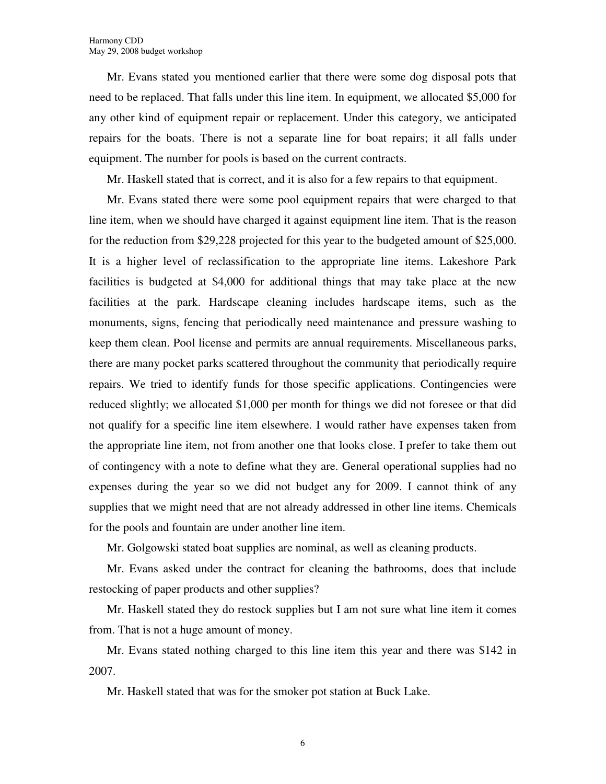Mr. Evans stated you mentioned earlier that there were some dog disposal pots that need to be replaced. That falls under this line item. In equipment, we allocated \$5,000 for any other kind of equipment repair or replacement. Under this category, we anticipated repairs for the boats. There is not a separate line for boat repairs; it all falls under equipment. The number for pools is based on the current contracts.

Mr. Haskell stated that is correct, and it is also for a few repairs to that equipment.

Mr. Evans stated there were some pool equipment repairs that were charged to that line item, when we should have charged it against equipment line item. That is the reason for the reduction from \$29,228 projected for this year to the budgeted amount of \$25,000. It is a higher level of reclassification to the appropriate line items. Lakeshore Park facilities is budgeted at \$4,000 for additional things that may take place at the new facilities at the park. Hardscape cleaning includes hardscape items, such as the monuments, signs, fencing that periodically need maintenance and pressure washing to keep them clean. Pool license and permits are annual requirements. Miscellaneous parks, there are many pocket parks scattered throughout the community that periodically require repairs. We tried to identify funds for those specific applications. Contingencies were reduced slightly; we allocated \$1,000 per month for things we did not foresee or that did not qualify for a specific line item elsewhere. I would rather have expenses taken from the appropriate line item, not from another one that looks close. I prefer to take them out of contingency with a note to define what they are. General operational supplies had no expenses during the year so we did not budget any for 2009. I cannot think of any supplies that we might need that are not already addressed in other line items. Chemicals for the pools and fountain are under another line item.

Mr. Golgowski stated boat supplies are nominal, as well as cleaning products.

Mr. Evans asked under the contract for cleaning the bathrooms, does that include restocking of paper products and other supplies?

Mr. Haskell stated they do restock supplies but I am not sure what line item it comes from. That is not a huge amount of money.

Mr. Evans stated nothing charged to this line item this year and there was \$142 in 2007.

Mr. Haskell stated that was for the smoker pot station at Buck Lake.

6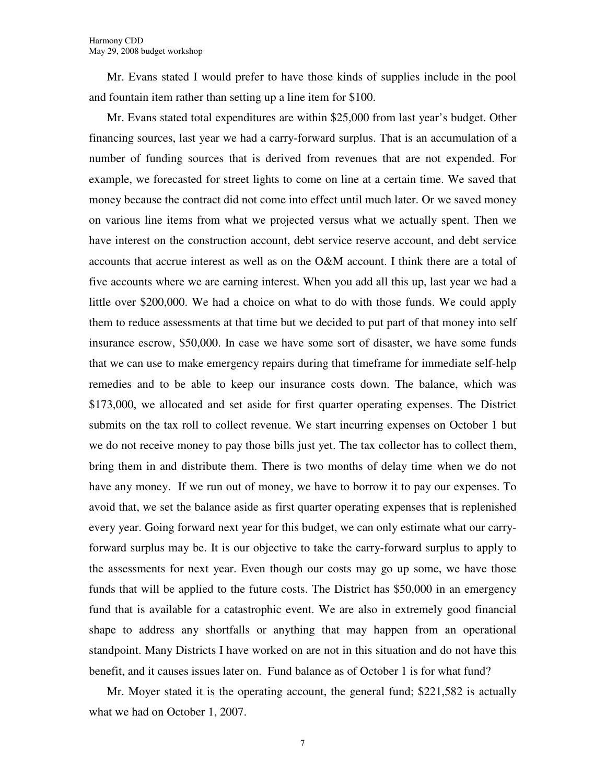Mr. Evans stated I would prefer to have those kinds of supplies include in the pool and fountain item rather than setting up a line item for \$100.

Mr. Evans stated total expenditures are within \$25,000 from last year's budget. Other financing sources, last year we had a carry-forward surplus. That is an accumulation of a number of funding sources that is derived from revenues that are not expended. For example, we forecasted for street lights to come on line at a certain time. We saved that money because the contract did not come into effect until much later. Or we saved money on various line items from what we projected versus what we actually spent. Then we have interest on the construction account, debt service reserve account, and debt service accounts that accrue interest as well as on the O&M account. I think there are a total of five accounts where we are earning interest. When you add all this up, last year we had a little over \$200,000. We had a choice on what to do with those funds. We could apply them to reduce assessments at that time but we decided to put part of that money into self insurance escrow, \$50,000. In case we have some sort of disaster, we have some funds that we can use to make emergency repairs during that timeframe for immediate self-help remedies and to be able to keep our insurance costs down. The balance, which was \$173,000, we allocated and set aside for first quarter operating expenses. The District submits on the tax roll to collect revenue. We start incurring expenses on October 1 but we do not receive money to pay those bills just yet. The tax collector has to collect them, bring them in and distribute them. There is two months of delay time when we do not have any money. If we run out of money, we have to borrow it to pay our expenses. To avoid that, we set the balance aside as first quarter operating expenses that is replenished every year. Going forward next year for this budget, we can only estimate what our carryforward surplus may be. It is our objective to take the carry-forward surplus to apply to the assessments for next year. Even though our costs may go up some, we have those funds that will be applied to the future costs. The District has \$50,000 in an emergency fund that is available for a catastrophic event. We are also in extremely good financial shape to address any shortfalls or anything that may happen from an operational standpoint. Many Districts I have worked on are not in this situation and do not have this benefit, and it causes issues later on. Fund balance as of October 1 is for what fund?

Mr. Moyer stated it is the operating account, the general fund; \$221,582 is actually what we had on October 1, 2007.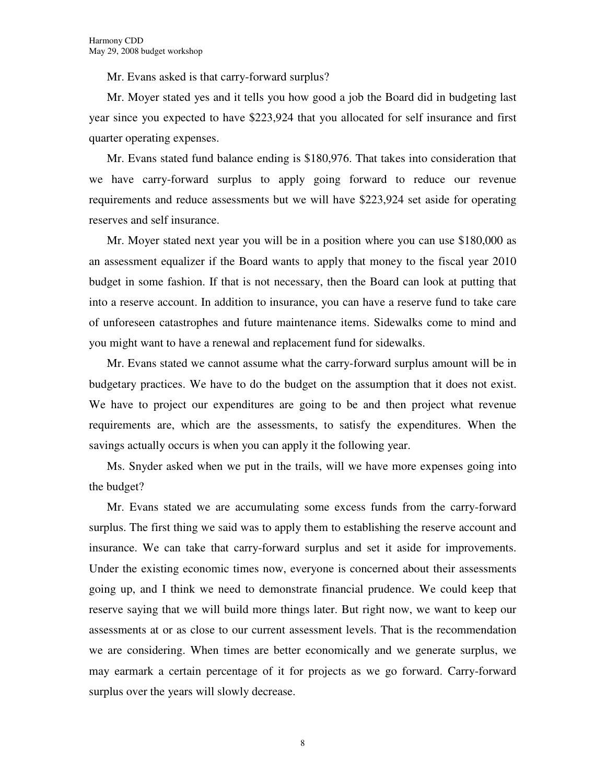Mr. Evans asked is that carry-forward surplus?

Mr. Moyer stated yes and it tells you how good a job the Board did in budgeting last year since you expected to have \$223,924 that you allocated for self insurance and first quarter operating expenses.

Mr. Evans stated fund balance ending is \$180,976. That takes into consideration that we have carry-forward surplus to apply going forward to reduce our revenue requirements and reduce assessments but we will have \$223,924 set aside for operating reserves and self insurance.

Mr. Moyer stated next year you will be in a position where you can use \$180,000 as an assessment equalizer if the Board wants to apply that money to the fiscal year 2010 budget in some fashion. If that is not necessary, then the Board can look at putting that into a reserve account. In addition to insurance, you can have a reserve fund to take care of unforeseen catastrophes and future maintenance items. Sidewalks come to mind and you might want to have a renewal and replacement fund for sidewalks.

Mr. Evans stated we cannot assume what the carry-forward surplus amount will be in budgetary practices. We have to do the budget on the assumption that it does not exist. We have to project our expenditures are going to be and then project what revenue requirements are, which are the assessments, to satisfy the expenditures. When the savings actually occurs is when you can apply it the following year.

Ms. Snyder asked when we put in the trails, will we have more expenses going into the budget?

Mr. Evans stated we are accumulating some excess funds from the carry-forward surplus. The first thing we said was to apply them to establishing the reserve account and insurance. We can take that carry-forward surplus and set it aside for improvements. Under the existing economic times now, everyone is concerned about their assessments going up, and I think we need to demonstrate financial prudence. We could keep that reserve saying that we will build more things later. But right now, we want to keep our assessments at or as close to our current assessment levels. That is the recommendation we are considering. When times are better economically and we generate surplus, we may earmark a certain percentage of it for projects as we go forward. Carry-forward surplus over the years will slowly decrease.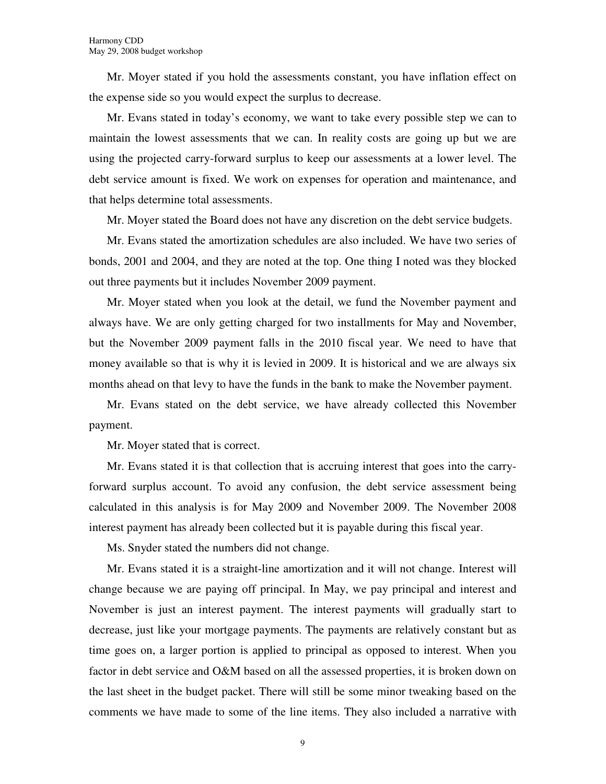Mr. Moyer stated if you hold the assessments constant, you have inflation effect on the expense side so you would expect the surplus to decrease.

Mr. Evans stated in today's economy, we want to take every possible step we can to maintain the lowest assessments that we can. In reality costs are going up but we are using the projected carry-forward surplus to keep our assessments at a lower level. The debt service amount is fixed. We work on expenses for operation and maintenance, and that helps determine total assessments.

Mr. Moyer stated the Board does not have any discretion on the debt service budgets.

Mr. Evans stated the amortization schedules are also included. We have two series of bonds, 2001 and 2004, and they are noted at the top. One thing I noted was they blocked out three payments but it includes November 2009 payment.

Mr. Moyer stated when you look at the detail, we fund the November payment and always have. We are only getting charged for two installments for May and November, but the November 2009 payment falls in the 2010 fiscal year. We need to have that money available so that is why it is levied in 2009. It is historical and we are always six months ahead on that levy to have the funds in the bank to make the November payment.

Mr. Evans stated on the debt service, we have already collected this November payment.

Mr. Moyer stated that is correct.

Mr. Evans stated it is that collection that is accruing interest that goes into the carryforward surplus account. To avoid any confusion, the debt service assessment being calculated in this analysis is for May 2009 and November 2009. The November 2008 interest payment has already been collected but it is payable during this fiscal year.

Ms. Snyder stated the numbers did not change.

Mr. Evans stated it is a straight-line amortization and it will not change. Interest will change because we are paying off principal. In May, we pay principal and interest and November is just an interest payment. The interest payments will gradually start to decrease, just like your mortgage payments. The payments are relatively constant but as time goes on, a larger portion is applied to principal as opposed to interest. When you factor in debt service and O&M based on all the assessed properties, it is broken down on the last sheet in the budget packet. There will still be some minor tweaking based on the comments we have made to some of the line items. They also included a narrative with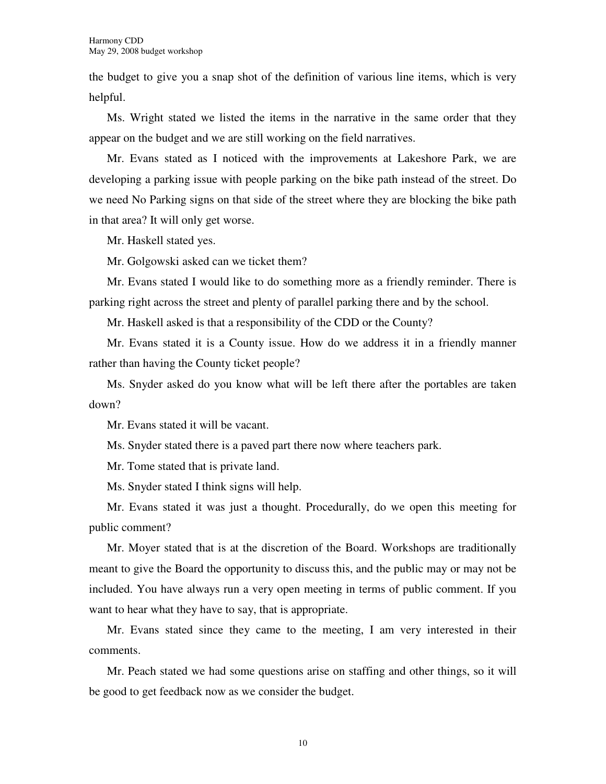the budget to give you a snap shot of the definition of various line items, which is very helpful.

Ms. Wright stated we listed the items in the narrative in the same order that they appear on the budget and we are still working on the field narratives.

Mr. Evans stated as I noticed with the improvements at Lakeshore Park, we are developing a parking issue with people parking on the bike path instead of the street. Do we need No Parking signs on that side of the street where they are blocking the bike path in that area? It will only get worse.

Mr. Haskell stated yes.

Mr. Golgowski asked can we ticket them?

Mr. Evans stated I would like to do something more as a friendly reminder. There is parking right across the street and plenty of parallel parking there and by the school.

Mr. Haskell asked is that a responsibility of the CDD or the County?

Mr. Evans stated it is a County issue. How do we address it in a friendly manner rather than having the County ticket people?

Ms. Snyder asked do you know what will be left there after the portables are taken down?

Mr. Evans stated it will be vacant.

Ms. Snyder stated there is a paved part there now where teachers park.

Mr. Tome stated that is private land.

Ms. Snyder stated I think signs will help.

Mr. Evans stated it was just a thought. Procedurally, do we open this meeting for public comment?

Mr. Moyer stated that is at the discretion of the Board. Workshops are traditionally meant to give the Board the opportunity to discuss this, and the public may or may not be included. You have always run a very open meeting in terms of public comment. If you want to hear what they have to say, that is appropriate.

Mr. Evans stated since they came to the meeting, I am very interested in their comments.

Mr. Peach stated we had some questions arise on staffing and other things, so it will be good to get feedback now as we consider the budget.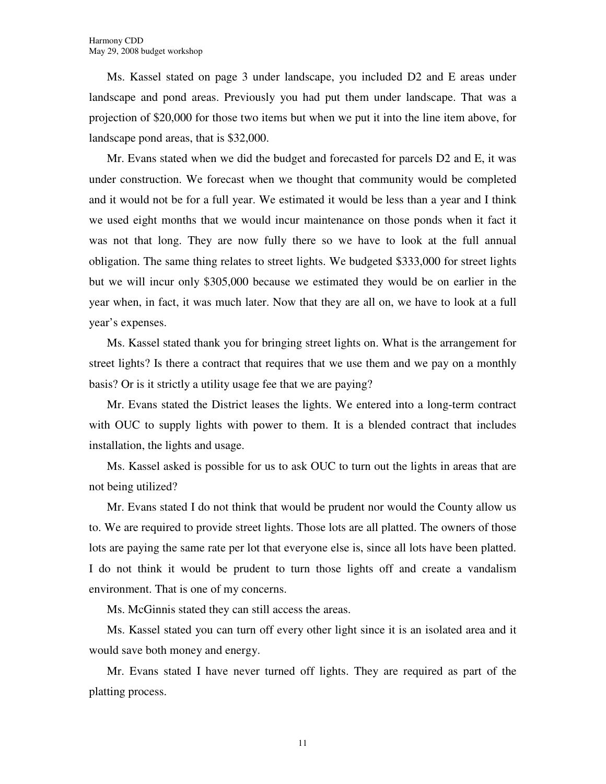Ms. Kassel stated on page 3 under landscape, you included D2 and E areas under landscape and pond areas. Previously you had put them under landscape. That was a projection of \$20,000 for those two items but when we put it into the line item above, for landscape pond areas, that is \$32,000.

Mr. Evans stated when we did the budget and forecasted for parcels D2 and E, it was under construction. We forecast when we thought that community would be completed and it would not be for a full year. We estimated it would be less than a year and I think we used eight months that we would incur maintenance on those ponds when it fact it was not that long. They are now fully there so we have to look at the full annual obligation. The same thing relates to street lights. We budgeted \$333,000 for street lights but we will incur only \$305,000 because we estimated they would be on earlier in the year when, in fact, it was much later. Now that they are all on, we have to look at a full year's expenses.

Ms. Kassel stated thank you for bringing street lights on. What is the arrangement for street lights? Is there a contract that requires that we use them and we pay on a monthly basis? Or is it strictly a utility usage fee that we are paying?

Mr. Evans stated the District leases the lights. We entered into a long-term contract with OUC to supply lights with power to them. It is a blended contract that includes installation, the lights and usage.

Ms. Kassel asked is possible for us to ask OUC to turn out the lights in areas that are not being utilized?

Mr. Evans stated I do not think that would be prudent nor would the County allow us to. We are required to provide street lights. Those lots are all platted. The owners of those lots are paying the same rate per lot that everyone else is, since all lots have been platted. I do not think it would be prudent to turn those lights off and create a vandalism environment. That is one of my concerns.

Ms. McGinnis stated they can still access the areas.

Ms. Kassel stated you can turn off every other light since it is an isolated area and it would save both money and energy.

Mr. Evans stated I have never turned off lights. They are required as part of the platting process.

11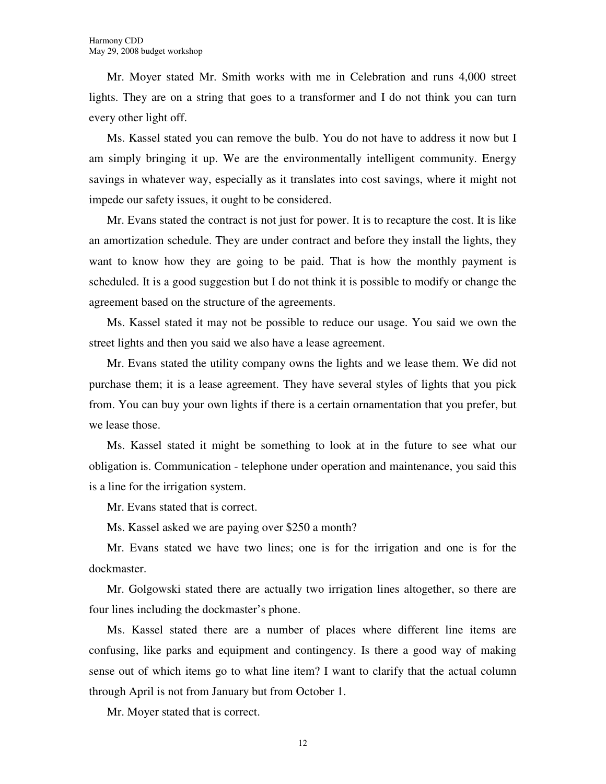Mr. Moyer stated Mr. Smith works with me in Celebration and runs 4,000 street lights. They are on a string that goes to a transformer and I do not think you can turn every other light off.

Ms. Kassel stated you can remove the bulb. You do not have to address it now but I am simply bringing it up. We are the environmentally intelligent community. Energy savings in whatever way, especially as it translates into cost savings, where it might not impede our safety issues, it ought to be considered.

Mr. Evans stated the contract is not just for power. It is to recapture the cost. It is like an amortization schedule. They are under contract and before they install the lights, they want to know how they are going to be paid. That is how the monthly payment is scheduled. It is a good suggestion but I do not think it is possible to modify or change the agreement based on the structure of the agreements.

Ms. Kassel stated it may not be possible to reduce our usage. You said we own the street lights and then you said we also have a lease agreement.

Mr. Evans stated the utility company owns the lights and we lease them. We did not purchase them; it is a lease agreement. They have several styles of lights that you pick from. You can buy your own lights if there is a certain ornamentation that you prefer, but we lease those.

Ms. Kassel stated it might be something to look at in the future to see what our obligation is. Communication - telephone under operation and maintenance, you said this is a line for the irrigation system.

Mr. Evans stated that is correct.

Ms. Kassel asked we are paying over \$250 a month?

Mr. Evans stated we have two lines; one is for the irrigation and one is for the dockmaster.

Mr. Golgowski stated there are actually two irrigation lines altogether, so there are four lines including the dockmaster's phone.

Ms. Kassel stated there are a number of places where different line items are confusing, like parks and equipment and contingency. Is there a good way of making sense out of which items go to what line item? I want to clarify that the actual column through April is not from January but from October 1.

Mr. Moyer stated that is correct.